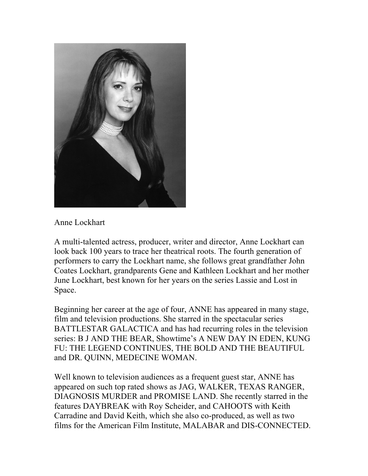

## Anne Lockhart

A multi-talented actress, producer, writer and director, Anne Lockhart can look back 100 years to trace her theatrical roots. The fourth generation of performers to carry the Lockhart name, she follows great grandfather John Coates Lockhart, grandparents Gene and Kathleen Lockhart and her mother June Lockhart, best known for her years on the series Lassie and Lost in Space.

Beginning her career at the age of four, ANNE has appeared in many stage, film and television productions. She starred in the spectacular series BATTLESTAR GALACTICA and has had recurring roles in the television series: B J AND THE BEAR, Showtime's A NEW DAY IN EDEN, KUNG FU: THE LEGEND CONTINUES, THE BOLD AND THE BEAUTIFUL and DR. QUINN, MEDECINE WOMAN.

Well known to television audiences as a frequent guest star, ANNE has appeared on such top rated shows as JAG, WALKER, TEXAS RANGER, DIAGNOSIS MURDER and PROMISE LAND. She recently starred in the features DAYBREAK with Roy Scheider, and CAHOOTS with Keith Carradine and David Keith, which she also co-produced, as well as two films for the American Film Institute, MALABAR and DIS-CONNECTED.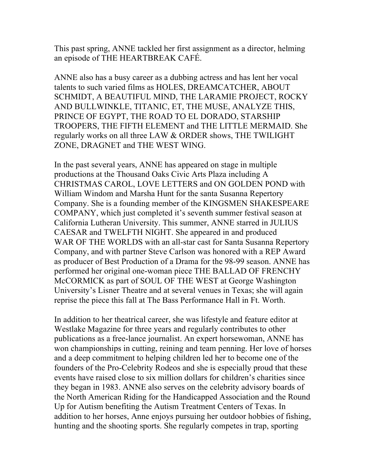This past spring, ANNE tackled her first assignment as a director, helming an episode of THE HEARTBREAK CAFÉ.

ANNE also has a busy career as a dubbing actress and has lent her vocal talents to such varied films as HOLES, DREAMCATCHER, ABOUT SCHMIDT, A BEAUTIFUL MIND, THE LARAMIE PROJECT, ROCKY AND BULLWINKLE, TITANIC, ET, THE MUSE, ANALYZE THIS, PRINCE OF EGYPT, THE ROAD TO EL DORADO, STARSHIP TROOPERS, THE FIFTH ELEMENT and THE LITTLE MERMAID. She regularly works on all three LAW & ORDER shows, THE TWILIGHT ZONE, DRAGNET and THE WEST WING.

In the past several years, ANNE has appeared on stage in multiple productions at the Thousand Oaks Civic Arts Plaza including A CHRISTMAS CAROL, LOVE LETTERS and ON GOLDEN POND with William Windom and Marsha Hunt for the santa Susanna Repertory Company. She is a founding member of the KINGSMEN SHAKESPEARE COMPANY, which just completed it's seventh summer festival season at California Lutheran University. This summer, ANNE starred in JULIUS CAESAR and TWELFTH NIGHT. She appeared in and produced WAR OF THE WORLDS with an all-star cast for Santa Susanna Repertory Company, and with partner Steve Carlson was honored with a REP Award as producer of Best Production of a Drama for the 98-99 season. ANNE has performed her original one-woman piece THE BALLAD OF FRENCHY McCORMICK as part of SOUL OF THE WEST at George Washington University's Lisner Theatre and at several venues in Texas; she will again reprise the piece this fall at The Bass Performance Hall in Ft. Worth.

In addition to her theatrical career, she was lifestyle and feature editor at Westlake Magazine for three years and regularly contributes to other publications as a free-lance journalist. An expert horsewoman, ANNE has won championships in cutting, reining and team penning. Her love of horses and a deep commitment to helping children led her to become one of the founders of the Pro-Celebrity Rodeos and she is especially proud that these events have raised close to six million dollars for children's charities since they began in 1983. ANNE also serves on the celebrity advisory boards of the North American Riding for the Handicapped Association and the Round Up for Autism benefiting the Autism Treatment Centers of Texas. In addition to her horses, Anne enjoys pursuing her outdoor hobbies of fishing, hunting and the shooting sports. She regularly competes in trap, sporting